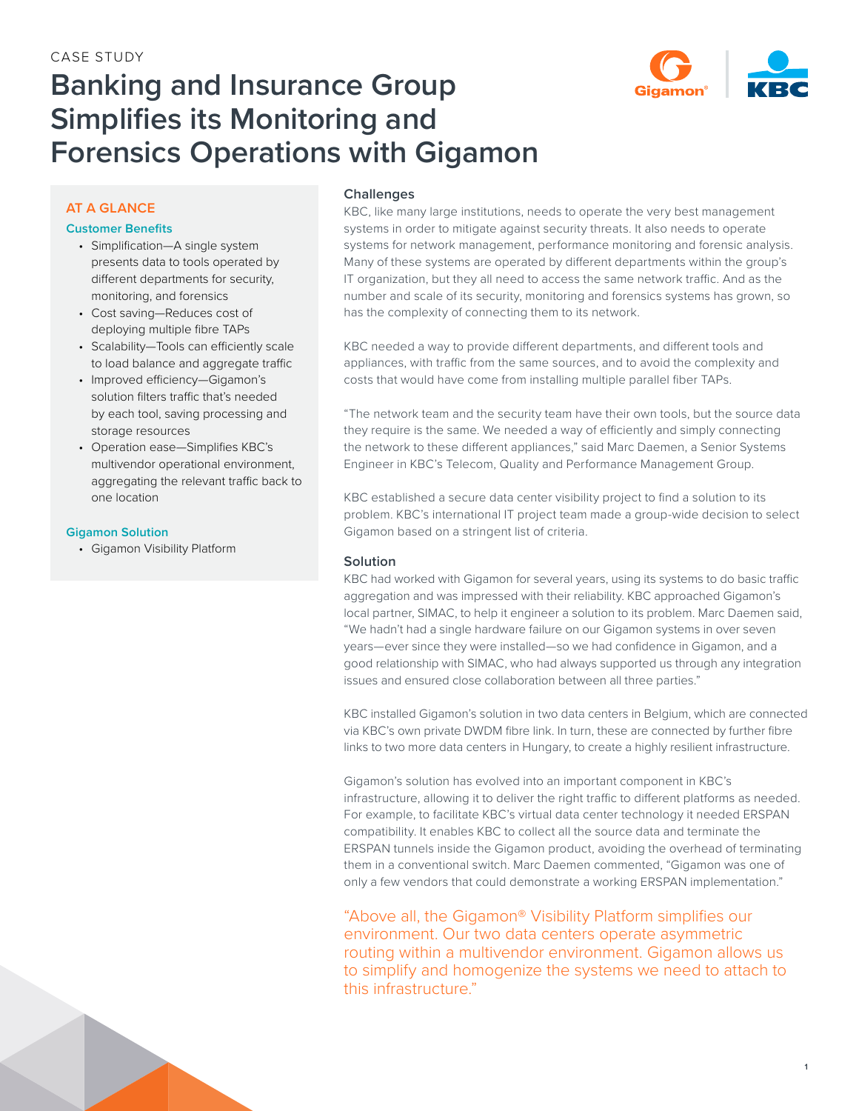

# **Banking and Insurance Group Simplifies its Monitoring and Forensics Operations with Gigamon**

## **AT A GLANCE**

#### **Customer Benefits**

- Simplification—A single system presents data to tools operated by different departments for security, monitoring, and forensics
- Cost saving—Reduces cost of deploying multiple fibre TAPs
- Scalability—Tools can efficiently scale to load balance and aggregate traffic
- Improved efficiency—Gigamon's solution filters traffic that's needed by each tool, saving processing and storage resources
- Operation ease—Simplifies KBC's multivendor operational environment, aggregating the relevant traffic back to one location

## **Gigamon Solution**

• Gigamon Visibility Platform

## **Challenges**

KBC, like many large institutions, needs to operate the very best management systems in order to mitigate against security threats. It also needs to operate systems for network management, performance monitoring and forensic analysis. Many of these systems are operated by different departments within the group's IT organization, but they all need to access the same network traffic. And as the number and scale of its security, monitoring and forensics systems has grown, so has the complexity of connecting them to its network.

KBC needed a way to provide different departments, and different tools and appliances, with traffic from the same sources, and to avoid the complexity and costs that would have come from installing multiple parallel fiber TAPs.

"The network team and the security team have their own tools, but the source data they require is the same. We needed a way of efficiently and simply connecting the network to these different appliances," said Marc Daemen, a Senior Systems Engineer in KBC's Telecom, Quality and Performance Management Group.

KBC established a secure data center visibility project to find a solution to its problem. KBC's international IT project team made a group-wide decision to select Gigamon based on a stringent list of criteria.

## **Solution**

KBC had worked with Gigamon for several years, using its systems to do basic traffic aggregation and was impressed with their reliability. KBC approached Gigamon's local partner, SIMAC, to help it engineer a solution to its problem. Marc Daemen said, "We hadn't had a single hardware failure on our Gigamon systems in over seven years—ever since they were installed—so we had confidence in Gigamon, and a good relationship with SIMAC, who had always supported us through any integration issues and ensured close collaboration between all three parties."

KBC installed Gigamon's solution in two data centers in Belgium, which are connected via KBC's own private DWDM fibre link. In turn, these are connected by further fibre links to two more data centers in Hungary, to create a highly resilient infrastructure.

Gigamon's solution has evolved into an important component in KBC's infrastructure, allowing it to deliver the right traffic to different platforms as needed. For example, to facilitate KBC's virtual data center technology it needed ERSPAN compatibility. It enables KBC to collect all the source data and terminate the ERSPAN tunnels inside the Gigamon product, avoiding the overhead of terminating them in a conventional switch. Marc Daemen commented, "Gigamon was one of only a few vendors that could demonstrate a working ERSPAN implementation."

"Above all, the Gigamon® Visibility Platform simplifies our environment. Our two data centers operate asymmetric routing within a multivendor environment. Gigamon allows us to simplify and homogenize the systems we need to attach to this infrastructure."